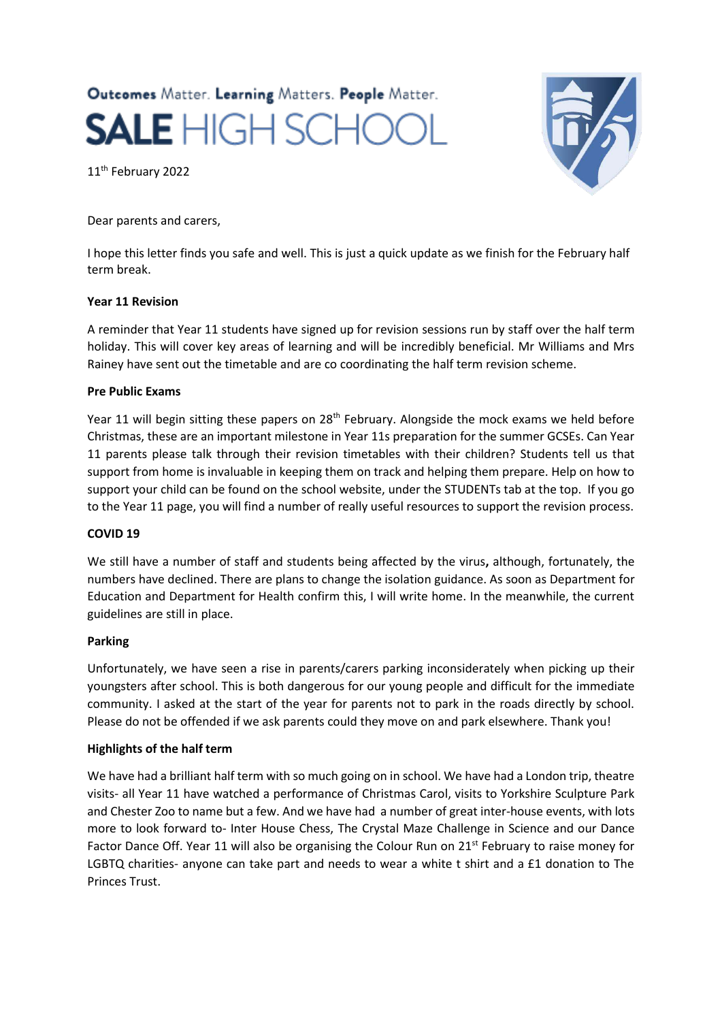# Outcomes Matter. Learning Matters. People Matter. **SALE** HIGH SCHC

11th February 2022

Dear parents and carers,

I hope this letter finds you safe and well. This is just a quick update as we finish for the February half term break.

## **Year 11 Revision**

A reminder that Year 11 students have signed up for revision sessions run by staff over the half term holiday. This will cover key areas of learning and will be incredibly beneficial. Mr Williams and Mrs Rainey have sent out the timetable and are co coordinating the half term revision scheme.

### **Pre Public Exams**

Year 11 will begin sitting these papers on 28<sup>th</sup> February. Alongside the mock exams we held before Christmas, these are an important milestone in Year 11s preparation for the summer GCSEs. Can Year 11 parents please talk through their revision timetables with their children? Students tell us that support from home is invaluable in keeping them on track and helping them prepare. Help on how to support your child can be found on the school website, under the STUDENTs tab at the top. If you go to the Year 11 page, you will find a number of really useful resources to support the revision process.

### **COVID 19**

We still have a number of staff and students being affected by the virus**,** although, fortunately, the numbers have declined. There are plans to change the isolation guidance. As soon as Department for Education and Department for Health confirm this, I will write home. In the meanwhile, the current guidelines are still in place.

### **Parking**

Unfortunately, we have seen a rise in parents/carers parking inconsiderately when picking up their youngsters after school. This is both dangerous for our young people and difficult for the immediate community. I asked at the start of the year for parents not to park in the roads directly by school. Please do not be offended if we ask parents could they move on and park elsewhere. Thank you!

### **Highlights of the half term**

We have had a brilliant half term with so much going on in school. We have had a London trip, theatre visits- all Year 11 have watched a performance of Christmas Carol, visits to Yorkshire Sculpture Park and Chester Zoo to name but a few. And we have had a number of great inter-house events, with lots more to look forward to- Inter House Chess, The Crystal Maze Challenge in Science and our Dance Factor Dance Off. Year 11 will also be organising the Colour Run on 21<sup>st</sup> February to raise money for LGBTQ charities- anyone can take part and needs to wear a white t shirt and a £1 donation to The Princes Trust.